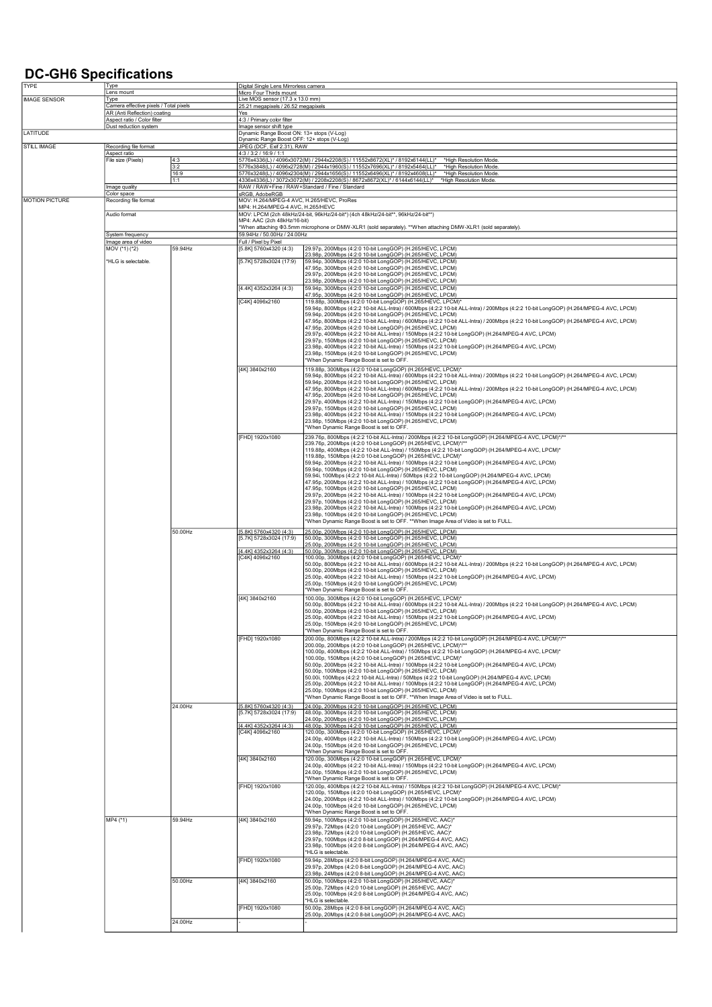## DC-GH6 Specifications

| TYPE                  | <b>Type</b>                                                                                           |             | Digital Single Lens Mirrorless camera                                    |                                                                                                                                                                                                                    |  |
|-----------------------|-------------------------------------------------------------------------------------------------------|-------------|--------------------------------------------------------------------------|--------------------------------------------------------------------------------------------------------------------------------------------------------------------------------------------------------------------|--|
|                       | <u>Lens mount</u>                                                                                     |             | Micro Four Thirds mount                                                  |                                                                                                                                                                                                                    |  |
|                       | <b>IMAGE SENSOR</b><br>Type<br>Camera effective pixels / Total pixels<br>AR (Anti Reflection) coating |             | Live MOS sensor (17.3 x 13.0 mm)<br>25.21 megapixels / 26.52 megapixels  |                                                                                                                                                                                                                    |  |
|                       |                                                                                                       |             | Yes                                                                      |                                                                                                                                                                                                                    |  |
|                       | Aspect ratio / Color filter<br>Dust reduction system                                                  |             | 4:3 / Primary color filter<br>Image sensor shift type                    |                                                                                                                                                                                                                    |  |
| LATITUDE              |                                                                                                       |             | Dynamic Range Boost ON: 13+ stops (V-Log)                                |                                                                                                                                                                                                                    |  |
| STILL IMAGE           | Recording file format                                                                                 |             | Dynamic Range Boost OFF: 12+ stops (V-Log)<br>JPEG (DCF, Exif 2.31), RAW |                                                                                                                                                                                                                    |  |
|                       | Aspect ratio                                                                                          |             | 4:3 / 3:2 / 16:9 / 1:1                                                   |                                                                                                                                                                                                                    |  |
|                       | File size (Pixels)                                                                                    | 4:3         |                                                                          | 5776x4336(L) / 4096x3072(M) / 2944x2208(S) / 11552x8672(XL)* / 8192x6144(LL)*<br>*High Resolution Mode.                                                                                                            |  |
|                       |                                                                                                       | 3:2<br>16:9 |                                                                          | 5776x3848(L) / 4096x2728(M) / 2944x1960(S) / 11552x7696(XL)* / 8192x5464(LL)*<br>*High Resolution Mode.<br>5776x3248(L) / 4096x2304(M) / 2944x1656(S) / 11552x6496(XL)* / 8192x4608(LL)*<br>*High Resolution Mode. |  |
|                       |                                                                                                       | 1:1         |                                                                          | 4336x4336(L) / 3072x3072(M) / 2208x2208(S) / 8672x8672(XL)* / 6144x6144(LL)*<br>*High Resolution Mode.                                                                                                             |  |
|                       | Image quality<br>Color space                                                                          |             | RAW / RAW+Fine / RAW+Standard / Fine / Standard<br>sRGB, AdobeRGB        |                                                                                                                                                                                                                    |  |
| <b>MOTION PICTURE</b> | Recording file format                                                                                 |             | MOV: H.264/MPEG-4 AVC, H.265/HEVC, ProRes                                |                                                                                                                                                                                                                    |  |
|                       | Audio format                                                                                          |             | MP4: H.264/MPEG-4 AVC, H.265/HEVC                                        | MOV: LPCM (2ch 48kHz/24-bit, 96kHz/24-bit*) (4ch 48kHz/24-bit**, 96kHz/24-bit**)                                                                                                                                   |  |
|                       |                                                                                                       |             | MP4: AAC (2ch 48kHz/16-bit)                                              |                                                                                                                                                                                                                    |  |
|                       |                                                                                                       |             |                                                                          | *When attaching Ф3.5mm microphone or DMW-XLR1 (sold separately). **When attaching DMW-XLR1 (sold separately).                                                                                                      |  |
|                       | System frequency<br>mage area of video                                                                |             | 59.94Hz / 50.00Hz / 24.00Hz<br>Full / Pixel by Pixel                     |                                                                                                                                                                                                                    |  |
|                       | MOV (*1) (*2)                                                                                         | 59.94Hz     | [5.8K] 5760x4320 (4:3)                                                   | 29.97p, 200Mbps (4:2:0 10-bit LongGOP) (H.265/HEVC, LPCM)                                                                                                                                                          |  |
|                       | 'HLG is selectable.                                                                                   |             | [5.7K] 5728x3024 (17:9)                                                  | 23.98p, 200Mbps (4:2:0 10-bit LongGOP) (H.265/HEVC, LPCM)<br>59.94p, 300Mbps (4:2:0 10-bit LongGOP) (H.265/HEVC, LPCM)                                                                                             |  |
|                       |                                                                                                       |             |                                                                          | 47.95p, 300Mbps (4:2:0 10-bit LongGOP) (H.265/HEVC, LPCM)                                                                                                                                                          |  |
|                       |                                                                                                       |             |                                                                          | 29.97p, 200Mbps (4:2:0 10-bit LongGOP) (H.265/HEVC, LPCM)<br>23.98p, 200Mbps (4:2:0 10-bit LongGOP) (H.265/HEVC, LPCM)                                                                                             |  |
|                       |                                                                                                       |             | [4.4K] 4352x3264 (4:3)                                                   | 59.94p, 300Mbps (4:2:0 10-bit LongGOP) (H.265/HEVC, LPCM)                                                                                                                                                          |  |
|                       |                                                                                                       |             |                                                                          | 47.95p, 300Mbps (4:2:0 10-bit LongGOP) (H.265/HEVC, LPCM)                                                                                                                                                          |  |
|                       |                                                                                                       |             | [C4K] 4096x2160                                                          | 119.88p, 300Mbps (4:2:0 10-bit LongGOP) (H.265/HEVC, LPCM)*<br>59.94p, 800Mbps (4:2:2 10-bit ALL-Intra) / 600Mbps (4:2:2 10-bit ALL-Intra) / 200Mbps (4:2:2 10-bit LongGOP) (H.264/MPEG-4 AVC, LPCM)               |  |
|                       |                                                                                                       |             |                                                                          | 59.94p, 200Mbps (4:2:0 10-bit LongGOP) (H.265/HEVC, LPCM)<br>47.95p, 800Mbps (4:2:2 10-bit ALL-Intra) / 600Mbps (4:2:2 10-bit ALL-Intra) / 200Mbps (4:2:2 10-bit LongGOP) (H.264/MPEG-4 AVC, LPCM)                 |  |
|                       |                                                                                                       |             |                                                                          | 47.95p, 200Mbps (4:2:0 10-bit LongGOP) (H.265/HEVC, LPCM)                                                                                                                                                          |  |
|                       |                                                                                                       |             |                                                                          | 29.97p, 400Mbps (4:2:2 10-bit ALL-Intra) / 150Mbps (4:2:2 10-bit LongGOP) (H.264/MPEG-4 AVC, LPCM)                                                                                                                 |  |
|                       |                                                                                                       |             |                                                                          | 29.97p, 150Mbps (4:2:0 10-bit LongGOP) (H.265/HEVC, LPCM)<br>23.98p, 400Mbps (4:2:2 10-bit ALL-Intra) / 150Mbps (4:2:2 10-bit LongGOP) (H.264/MPEG-4 AVC, LPCM)                                                    |  |
|                       |                                                                                                       |             |                                                                          | 23.98p, 150Mbps (4:2:0 10-bit LongGOP) (H.265/HEVC, LPCM)                                                                                                                                                          |  |
|                       |                                                                                                       |             |                                                                          | *When Dynamic Range Boost is set to OFF.                                                                                                                                                                           |  |
|                       |                                                                                                       |             | [4K] 3840x2160                                                           | 119.88p, 300Mbps (4:2:0 10-bit LongGOP) (H.265/HEVC, LPCM)*<br>59.94p, 800Mbps (4:2:2 10-bit ALL-Intra) / 600Mbps (4:2:2 10-bit ALL-Intra) / 200Mbps (4:2:2 10-bit LongGOP) (H.264/MPEG-4 AVC, LPCM)               |  |
|                       |                                                                                                       |             |                                                                          | 59.94p, 200Mbps (4:2:0 10-bit LongGOP) (H.265/HEVC, LPCM)                                                                                                                                                          |  |
|                       |                                                                                                       |             |                                                                          | 47.95p, 800Mbps (4:2:2 10-bit ALL-Intra) / 600Mbps (4:2:2 10-bit ALL-Intra) / 200Mbps (4:2:2 10-bit LongGOP) (H.264/MPEG-4 AVC, LPCM)<br>47.95p, 200Mbps (4:2:0 10-bit LongGOP) (H.265/HEVC, LPCM)                 |  |
|                       |                                                                                                       |             |                                                                          | 29.97p, 400Mbps (4:2:2 10-bit ALL-Intra) / 150Mbps (4:2:2 10-bit LongGOP) (H.264/MPEG-4 AVC, LPCM)                                                                                                                 |  |
|                       |                                                                                                       |             |                                                                          | 29.97p, 150Mbps (4:2:0 10-bit LongGOP) (H.265/HEVC, LPCM)<br>23.98p, 400Mbps (4:2:2 10-bit ALL-Intra) / 150Mbps (4:2:2 10-bit LongGOP) (H.264/MPEG-4 AVC, LPCM)                                                    |  |
|                       |                                                                                                       |             |                                                                          | 23.98p, 150Mbps (4:2:0 10-bit LongGOP) (H.265/HEVC, LPCM)                                                                                                                                                          |  |
|                       |                                                                                                       |             |                                                                          | *When Dynamic Range Boost is set to OFF.                                                                                                                                                                           |  |
|                       |                                                                                                       |             | [FHD] 1920x1080                                                          | 239.76p, 800Mbps (4:2:2 10-bit ALL-Intra) / 200Mbps (4:2:2 10-bit LongGOP) (H.264/MPEG-4 AVC, LPCM)*/**<br>239.76p, 200Mbps (4:2:0 10-bit LongGOP) (H.265/HEVC, LPCM)*/*                                           |  |
|                       |                                                                                                       |             |                                                                          | 119.88p, 400Mbps (4:2:2 10-bit ALL-Intra) / 150Mbps (4:2:2 10-bit LongGOP) (H.264/MPEG-4 AVC, LPCM)*                                                                                                               |  |
|                       |                                                                                                       |             |                                                                          | 119.88p, 150Mbps (4:2:0 10-bit LongGOP) (H.265/HEVC, LPCM)*<br>59.94p, 200Mbps (4:2:2 10-bit ALL-Intra) / 100Mbps (4:2:2 10-bit LongGOP) (H.264/MPEG-4 AVC, LPCM)                                                  |  |
|                       |                                                                                                       |             |                                                                          | 59.94p, 100Mbps (4:2:0 10-bit LongGOP) (H.265/HEVC, LPCM)                                                                                                                                                          |  |
|                       |                                                                                                       |             |                                                                          | 59.94i, 100Mbps (4:2:2 10-bit ALL-Intra) / 50Mbps (4:2:2 10-bit LongGOP) (H.264/MPEG-4 AVC, LPCM)<br>47.95p, 200Mbps (4:2:2 10-bit ALL-Intra) / 100Mbps (4:2:2 10-bit LongGOP) (H.264/MPEG-4 AVC, LPCM)            |  |
|                       |                                                                                                       |             |                                                                          | 47.95p, 100Mbps (4:2:0 10-bit LongGOP) (H.265/HEVC, LPCM)                                                                                                                                                          |  |
|                       |                                                                                                       |             |                                                                          | 29.97p, 200Mbps (4:2:2 10-bit ALL-Intra) / 100Mbps (4:2:2 10-bit LongGOP) (H.264/MPEG-4 AVC, LPCM)<br>29.97p, 100Mbps (4:2:0 10-bit LongGOP) (H.265/HEVC, LPCM)                                                    |  |
|                       |                                                                                                       |             |                                                                          | 23.98p, 200Mbps (4:2:2 10-bit ALL-Intra) / 100Mbps (4:2:2 10-bit LongGOP) (H.264/MPEG-4 AVC, LPCM)                                                                                                                 |  |
|                       |                                                                                                       |             |                                                                          | 23.98p, 100Mbps (4:2:0 10-bit LongGOP) (H.265/HEVC, LPCM)<br>*When Dynamic Range Boost is set to OFF. **When Image Area of Video is set to FULL                                                                    |  |
|                       |                                                                                                       | 50.00Hz     | [5.8K] 5760x4320 (4:3)                                                   |                                                                                                                                                                                                                    |  |
|                       |                                                                                                       |             | [5.7K] 5728x3024 (17:9)                                                  | 25.00p, 200Mbps (4:2:0 10-bit LongGOP) (H.265/HEVC, LPCM)<br>50.00p, 300Mbps (4:2:0 10-bit LongGOP) (H.265/HEVC, LPCM)                                                                                             |  |
|                       |                                                                                                       |             |                                                                          | 25.00p, 200Mbps (4:2:0 10-bit LongGOP) (H.265/HEVC, LPCM)<br>50.00p, 300Mbps (4:2:0 10-bit LongGOP) (H.265/HEVC, LPCM)                                                                                             |  |
|                       |                                                                                                       |             | [4.4K] 4352x3264 (4:3)<br>[C4K] 4096x2160                                | 100.00p, 300Mbps (4:2:0 10-bit LongGOP) (H.265/HEVC, LPCM)                                                                                                                                                         |  |
|                       |                                                                                                       |             |                                                                          | 50.00p, 800Mbps (4:2:2 10-bit ALL-Intra) / 600Mbps (4:2:2 10-bit ALL-Intra) / 200Mbps (4:2:2 10-bit LongGOP) (H.264/MPEG-4 AVC, LPCM)<br>50.00p, 200Mbps (4:2:0 10-bit LongGOP) (H.265/HEVC, LPCM)                 |  |
|                       |                                                                                                       |             |                                                                          | 25.00p, 400Mbps (4:2:2 10-bit ALL-Intra) / 150Mbps (4:2:2 10-bit LongGOP) (H.264/MPEG-4 AVC, LPCM)                                                                                                                 |  |
|                       |                                                                                                       |             |                                                                          | 25.00p, 150Mbps (4:2:0 10-bit LongGOP) (H.265/HEVC, LPCM)                                                                                                                                                          |  |
|                       |                                                                                                       |             | [4K] 3840x2160                                                           | *When Dynamic Range Boost is set to OFF.<br>100.00p, 300Mbps (4:2:0 10-bit LongGOP) (H.265/HEVC, LPCM)*                                                                                                            |  |
|                       |                                                                                                       |             |                                                                          | 50.00p, 800Mbps (4:2:2 10-bit ALL-Intra) / 600Mbps (4:2:2 10-bit ALL-Intra) / 200Mbps (4:2:2 10-bit LongGOP) (H.264/MPEG-4 AVC, LPCM)                                                                              |  |
|                       |                                                                                                       |             |                                                                          | 50.00p, 200Mbps (4:2:0 10-bit LongGOP) (H.265/HEVC, LPCM)<br>25.00p, 400Mbps (4:2:2 10-bit ALL-Intra) / 150Mbps (4:2:2 10-bit LongGOP) (H.264/MPEG-4 AVC, LPCM)                                                    |  |
|                       |                                                                                                       |             |                                                                          | 25.00p, 150Mbps (4:2:0 10-bit LongGOP) (H.265/HEVC, LPCM)                                                                                                                                                          |  |
|                       |                                                                                                       |             |                                                                          | *When Dynamic Range Boost is set to OFF.                                                                                                                                                                           |  |
|                       |                                                                                                       |             | [FHD] 1920x1080                                                          | 200.00p, 800Mbps (4:2:2 10-bit ALL-Intra) / 200Mbps (4:2:2 10-bit LongGOP) (H.264/MPEG-4 AVC, LPCM)*/**<br>200.00p, 200Mbps (4:2:0 10-bit LongGOP) (H.265/HEVC, LPCM)*/**                                          |  |
|                       |                                                                                                       |             |                                                                          | 100.00p, 400Mbps (4:2:2 10-bit ALL-Intra) / 150Mbps (4:2:2 10-bit LongGOP) (H.264/MPEG-4 AVC, LPCM)*                                                                                                               |  |
|                       |                                                                                                       |             |                                                                          | 100.00p, 150Mbps (4:2:0 10-bit LongGOP) (H.265/HEVC, LPCM)*<br>50.00p, 200Mbps (4:2:2 10-bit ALL-Intra) / 100Mbps (4:2:2 10-bit LongGOP) (H.264/MPEG-4 AVC, LPCM)                                                  |  |
|                       |                                                                                                       |             |                                                                          | 50.00p, 100Mbps (4:2:0 10-bit LongGOP) (H.265/HEVC, LPCM)                                                                                                                                                          |  |
|                       |                                                                                                       |             |                                                                          | 50.00i, 100Mbps (4:2:2 10-bit ALL-Intra) / 50Mbps (4:2:2 10-bit LongGOP) (H.264/MPEG-4 AVC, LPCM)<br>25.00p, 200Mbps (4:2:2 10-bit ALL-Intra) / 100Mbps (4:2:2 10-bit LongGOP) (H.264/MPEG-4 AVC, LPCM)            |  |
|                       |                                                                                                       |             |                                                                          | 25.00p, 100Mbps (4:2:0 10-bit LongGOP) (H.265/HEVC, LPCM)                                                                                                                                                          |  |
|                       |                                                                                                       |             |                                                                          | *When Dynamic Range Boost is set to OFF. **When Image Area of Video is set to FULL.<br>24.00p, 200Mbps (4:2:0 10-bit LongGOP) (H.265/HEVC, LPCM)                                                                   |  |
|                       |                                                                                                       | 24.00Hz     | [5.8K] 5760x4320 (4:3)<br>[5.7K] 5728x3024 (17:9)                        | 48.00p, 300Mbps (4:2:0 10-bit LongGOP) (H.265/HEVC, LPCM)                                                                                                                                                          |  |
|                       |                                                                                                       |             |                                                                          | 24.00p, 200Mbps (4:2:0 10-bit LongGOP) (H.265/HEVC, LPCM)                                                                                                                                                          |  |
|                       |                                                                                                       |             | [4.4K] 4352x3264 (4:3)<br>[C4K] 4096x2160                                | 48.00p, 300Mbps (4:2:0 10-bit LongGOP) (H.265/HEVC, LPCM)<br>120.00p, 300Mbps (4:2:0 10-bit LongGOP) (H.265/HEVC, LPCM)'                                                                                           |  |
|                       |                                                                                                       |             |                                                                          | 24.00p, 400Mbps (4:2:2 10-bit ALL-Intra) / 150Mbps (4:2:2 10-bit LongGOP) (H.264/MPEG-4 AVC, LPCM)                                                                                                                 |  |
|                       |                                                                                                       |             |                                                                          | 24.00p, 150Mbps (4:2:0 10-bit LongGOP) (H.265/HEVC, LPCM)<br>*When Dynamic Range Boost is set to OFF                                                                                                               |  |
|                       |                                                                                                       |             | [4K] 3840x2160                                                           | 120.00p, 300Mbps (4:2:0 10-bit LongGOP) (H.265/HEVC, LPCM)*                                                                                                                                                        |  |
|                       |                                                                                                       |             |                                                                          | 24.00p, 400Mbps (4:2:2 10-bit ALL-Intra) / 150Mbps (4:2:2 10-bit LongGOP) (H.264/MPEG-4 AVC, LPCM)<br>24.00p, 150Mbps (4:2:0 10-bit LongGOP) (H.265/HEVC, LPCM)                                                    |  |
|                       |                                                                                                       |             |                                                                          | *When Dynamic Range Boost is set to OFF.                                                                                                                                                                           |  |
|                       |                                                                                                       |             | [FHD] 1920x1080                                                          | *120.00p, 400Mbps (4:2:2 10-bit ALL-Intra) / 150Mbps (4:2:2 10-bit LongGOP) (H.264/MPEG-4 AVC, LPCM)                                                                                                               |  |
|                       |                                                                                                       |             |                                                                          | 120.00p, 150Mbps (4:2:0 10-bit LongGOP) (H.265/HEVC, LPCM)*<br>24.00p, 200Mbps (4:2:2 10-bit ALL-Intra) / 100Mbps (4:2:2 10-bit LongGOP) (H.264/MPEG-4 AVC, LPCM)                                                  |  |
|                       |                                                                                                       |             |                                                                          | 24.00p, 100Mbps (4:2:0 10-bit LongGOP) (H.265/HEVC, LPCM)                                                                                                                                                          |  |
|                       | MP4 (*1)                                                                                              | 59.94Hz     | [4K] 3840x2160                                                           | *When Dynamic Range Boost is set to OFF.<br>59.94p, 100Mbps (4:2:0 10-bit LongGOP) (H.265/HEVC, AAC)*                                                                                                              |  |
|                       |                                                                                                       |             |                                                                          | 29.97p, 72Mbps (4:2:0 10-bit LongGOP) (H.265/HEVC, AAC)*                                                                                                                                                           |  |
|                       |                                                                                                       |             |                                                                          | 23.98p, 72Mbps (4:2:0 10-bit LongGOP) (H.265/HEVC, AAC)*<br>29.97p, 100Mbps (4:2:0 8-bit LongGOP) (H.264/MPEG-4 AVC, AAC)                                                                                          |  |
|                       |                                                                                                       |             |                                                                          | 23.98p, 100Mbps (4:2:0 8-bit LongGOP) (H.264/MPEG-4 AVC, AAC)                                                                                                                                                      |  |
|                       |                                                                                                       |             |                                                                          | *HLG is selectable.                                                                                                                                                                                                |  |
|                       |                                                                                                       |             | [FHD] 1920x1080                                                          | 59.94p, 28Mbps (4:2:0 8-bit LongGOP) (H.264/MPEG-4 AVC, AAC)<br>29.97p, 20Mbps (4:2:0 8-bit LongGOP) (H.264/MPEG-4 AVC, AAC)                                                                                       |  |
|                       |                                                                                                       |             |                                                                          | 23.98p, 24Mbps (4:2:0 8-bit LongGOP) (H.264/MPEG-4 AVC, AAC)                                                                                                                                                       |  |
|                       |                                                                                                       | 50.00Hz     | [4K] 3840x2160                                                           | 50.00p, 100Mbps (4:2:0 10-bit LongGOP) (H.265/HEVC, AAC)<br>25.00p, 72Mbps (4:2:0 10-bit LongGOP) (H.265/HEVC, AAC)*                                                                                               |  |
|                       |                                                                                                       |             |                                                                          | 25.00p, 100Mbps (4:2:0 8-bit LongGOP) (H.264/MPEG-4 AVC, AAC)                                                                                                                                                      |  |
|                       |                                                                                                       |             |                                                                          | *HLG is selectable.                                                                                                                                                                                                |  |
|                       |                                                                                                       |             | [FHD] 1920x1080                                                          | 50.00p, 28Mbps (4:2:0 8-bit LongGOP) (H.264/MPEG-4 AVC, AAC)<br>25.00p, 20Mbps (4:2:0 8-bit LongGOP) (H.264/MPEG-4 AVC, AAC)                                                                                       |  |
|                       |                                                                                                       | 24.00Hz     |                                                                          |                                                                                                                                                                                                                    |  |
|                       |                                                                                                       |             |                                                                          |                                                                                                                                                                                                                    |  |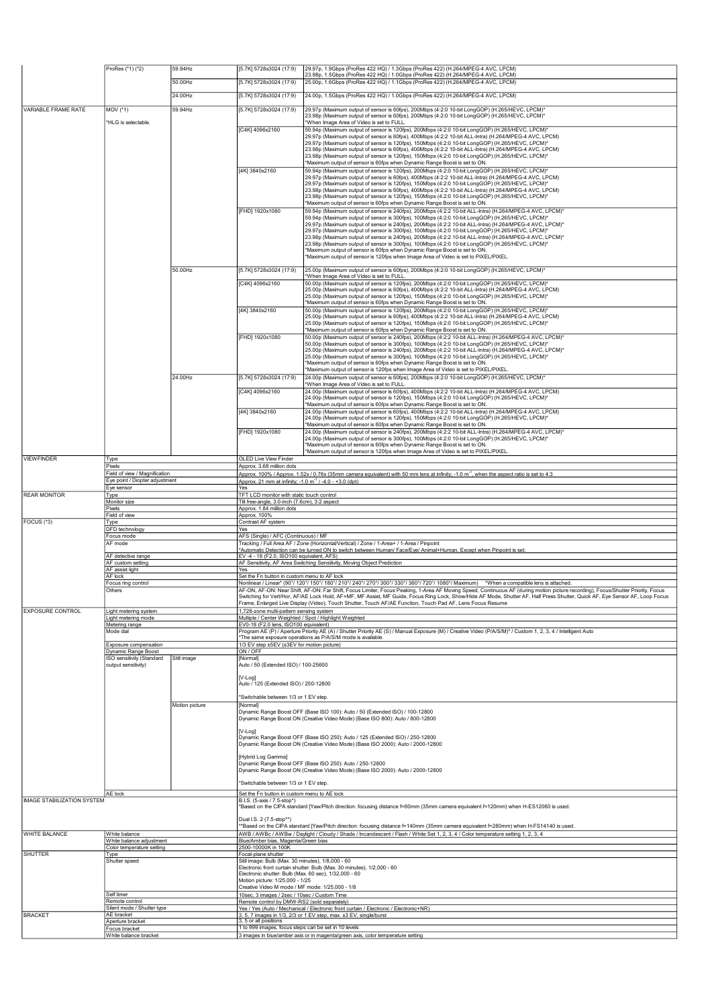|                            | ProRes (*1) (*2)                                                | 59.94Hz        | [5.7K] 5728x3024 (17:9)                                                                                                 | 29.97p, 1.9Gbps (ProRes 422 HQ) / 1.3Gbps (ProRes 422) (H.264/MPEG-4 AVC, LPCM)<br>23.98p, 1.5Gbps (ProRes 422 HQ) / 1.0Gbps (ProRes 422) (H.264/MPEG-4 AVC, LPCM)                                                                                                                         |  |
|----------------------------|-----------------------------------------------------------------|----------------|-------------------------------------------------------------------------------------------------------------------------|--------------------------------------------------------------------------------------------------------------------------------------------------------------------------------------------------------------------------------------------------------------------------------------------|--|
|                            |                                                                 | 50.00Hz        | [5.7K] 5728x3024 (17:9)                                                                                                 | 25.00p, 1.6Gbps (ProRes 422 HQ) / 1.1Gbps (ProRes 422) (H.264/MPEG-4 AVC, LPCM)                                                                                                                                                                                                            |  |
|                            |                                                                 | 24.00Hz        | [5.7K] 5728x3024 (17:9)                                                                                                 | 24.00p, 1.5Gbps (ProRes 422 HQ) / 1.0Gbps (ProRes 422) (H.264/MPEG-4 AVC, LPCM)                                                                                                                                                                                                            |  |
|                            |                                                                 | 59.94Hz        |                                                                                                                         |                                                                                                                                                                                                                                                                                            |  |
| VARIABLE FRAME RATE        | MOV (*1)<br>*HLG is selectable.                                 |                | [5.7K] 5728x3024 (17:9)                                                                                                 | 29.97p (Maximum output of sensor is 60fps), 200Mbps (4:2:0 10-bit LongGOP) (H.265/HEVC, LPCM)*<br>23.98p (Maximum output of sensor is 60fps), 200Mbps (4:2:0 10-bit LongGOP) (H.265/HEVC, LPCM)*<br>'When Image Area of Video is set to FULL                                               |  |
|                            |                                                                 |                | [C4K] 4096x2160                                                                                                         | 59.94p (Maximum output of sensor is 120fps), 200Mbps (4:2:0 10-bit LongGOP) (H.265/HEVC, LPCM)*                                                                                                                                                                                            |  |
|                            |                                                                 |                |                                                                                                                         | 29.97p (Maximum output of sensor is 60fps), 400Mbps (4:2:2 10-bit ALL-Intra) (H.264/MPEG-4 AVC, LPCM)<br>29.97p (Maximum output of sensor is 120fps), 150Mbps (4:2:0 10-bit LongGOP) (H.265/HEVC, LPCM)*                                                                                   |  |
|                            |                                                                 |                |                                                                                                                         | 23.98p (Maximum output of sensor is 60fps), 400Mbps (4:2:2 10-bit ALL-Intra) (H.264/MPEG-4 AVC, LPCM)<br>23.98p (Maximum output of sensor is 120fps), 150Mbps (4:2:0 10-bit LongGOP) (H.265/HEVC, LPCM)*                                                                                   |  |
|                            |                                                                 |                |                                                                                                                         | *Maximum output of sensor is 60fps when Dynamic Range Boost is set to ON.                                                                                                                                                                                                                  |  |
|                            |                                                                 |                | [4K] 3840x2160                                                                                                          | 59.94p (Maximum output of sensor is 120fps), 200Mbps (4:2:0 10-bit LongGOP) (H.265/HEVC, LPCM)*<br>29.97p (Maximum output of sensor is 60fps), 400Mbps (4:2:2 10-bit ALL-Intra) (H.264/MPEG-4 AVC, LPCM)                                                                                   |  |
|                            |                                                                 |                |                                                                                                                         | 29.97p (Maximum output of sensor is 120fps), 150Mbps (4:2:0 10-bit LongGOP) (H.265/HEVC, LPCM)*                                                                                                                                                                                            |  |
|                            |                                                                 |                |                                                                                                                         | 23.98p (Maximum output of sensor is 60fps), 400Mbps (4:2:2 10-bit ALL-Intra) (H.264/MPEG-4 AVC, LPCM)<br>23.98p (Maximum output of sensor is 120fps), 150Mbps (4:2:0 10-bit LongGOP) (H.265/HEVC, LPCM)*                                                                                   |  |
|                            |                                                                 |                | [FHD] 1920x1080                                                                                                         | *Maximum output of sensor is 60fps when Dynamic Range Boost is set to ON.                                                                                                                                                                                                                  |  |
|                            |                                                                 |                |                                                                                                                         | 59.94p (Maximum output of sensor is 240fps), 200Mbps (4:2:2 10-bit ALL-Intra) (H.264/MPEG-4 AVC, LPCM)*<br>59.94p (Maximum output of sensor is 300fps), 100Mbps (4:2:0 10-bit LongGOP) (H.265/HEVC, LPCM)*                                                                                 |  |
|                            |                                                                 |                |                                                                                                                         | 29.97p (Maximum output of sensor is 240fps), 200Mbps (4:2:2 10-bit ALL-Intra) (H.264/MPEG-4 AVC, LPCM)*<br>29.97p (Maximum output of sensor is 300fps), 100Mbps (4:2:0 10-bit LongGOP) (H.265/HEVC, LPCM)*                                                                                 |  |
|                            |                                                                 |                |                                                                                                                         | 23.98p (Maximum output of sensor is 240fps), 200Mbps (4:2:2 10-bit ALL-Intra) (H.264/MPEG-4 AVC, LPCM)*<br>23.98p (Maximum output of sensor is 300fps), 100Mbps (4:2:0 10-bit LongGOP) (H.265/HEVC, LPCM)*                                                                                 |  |
|                            |                                                                 |                |                                                                                                                         | *Maximum output of sensor is 60fps when Dynamic Range Boost is set to ON.                                                                                                                                                                                                                  |  |
|                            |                                                                 |                |                                                                                                                         | *Maximum output of sensor is 120fps when Image Area of Video is set to PIXEL/PIXEL.                                                                                                                                                                                                        |  |
|                            |                                                                 | 50.00Hz        | [5.7K] 5728x3024 (17:9)                                                                                                 | 25.00p (Maximum output of sensor is 60fps), 200Mbps (4:2:0 10-bit LongGOP) (H.265/HEVC, LPCM)*<br>'When Image Area of Video is set to FULL                                                                                                                                                 |  |
|                            |                                                                 |                | [C4K] 4096x2160                                                                                                         | 50.00p (Maximum output of sensor is 120fps), 200Mbps (4:2:0 10-bit LongGOP) (H.265/HEVC, LPCM)*                                                                                                                                                                                            |  |
|                            |                                                                 |                |                                                                                                                         | 25.00p (Maximum output of sensor is 60fps), 400Mbps (4:2:2 10-bit ALL-Intra) (H.264/MPEG-4 AVC, LPCM)<br>25.00p (Maximum output of sensor is 120fps), 150Mbps (4:2:0 10-bit LongGOP) (H.265/HEVC, LPCM)*                                                                                   |  |
|                            |                                                                 |                |                                                                                                                         | *Maximum output of sensor is 60fps when Dynamic Range Boost is set to ON.<br>50.00p (Maximum output of sensor is 120fps), 200Mbps (4:2:0 10-bit LongGOP) (H.265/HEVC, LPCM)*                                                                                                               |  |
|                            |                                                                 |                | [4K] 3840x2160                                                                                                          | 25.00p (Maximum output of sensor is 60fps), 400Mbps (4:2:2 10-bit ALL-Intra) (H.264/MPEG-4 AVC, LPCM)                                                                                                                                                                                      |  |
|                            |                                                                 |                |                                                                                                                         | 25.00p (Maximum output of sensor is 120fps), 150Mbps (4:2:0 10-bit LongGOP) (H.265/HEVC, LPCM)*<br>*Maximum output of sensor is 60fps when Dynamic Range Boost is set to ON.                                                                                                               |  |
|                            |                                                                 |                | [FHD] 1920x1080                                                                                                         | 50.00p (Maximum output of sensor is 240fps), 200Mbps (4:2:2 10-bit ALL-Intra) (H.264/MPEG-4 AVC, LPCM)*<br>50.00p (Maximum output of sensor is 300fps), 100Mbps (4:2:0 10-bit LongGOP) (H.265/HEVC, LPCM)*                                                                                 |  |
|                            |                                                                 |                |                                                                                                                         | 25.00p (Maximum output of sensor is 240fps), 200Mbps (4:2:2 10-bit ALL-Intra) (H.264/MPEG-4 AVC, LPCM)*                                                                                                                                                                                    |  |
|                            |                                                                 |                |                                                                                                                         | 25.00p (Maximum output of sensor is 300fps), 100Mbps (4:2:0 10-bit LongGOP) (H.265/HEVC, LPCM)*<br>*Maximum output of sensor is 60fps when Dynamic Range Boost is set to ON.                                                                                                               |  |
|                            |                                                                 |                |                                                                                                                         | *Maximum output of sensor is 120fps when Image Area of Video is set to PIXEL/PIXEL<br>24.00p (Maximum output of sensor is 60fps), 200Mbps (4:2:0 10-bit LongGOP) (H.265/HEVC, LPCM)*                                                                                                       |  |
|                            |                                                                 | 24.00Hz        | [5.7K] 5728x3024 (17:9)                                                                                                 | When Image Area of Video is set to FULL                                                                                                                                                                                                                                                    |  |
|                            |                                                                 |                | [C4K] 4096x2160                                                                                                         | 24.00p (Maximum output of sensor is 60fps), 400Mbps (4:2:2 10-bit ALL-Intra) (H.264/MPEG-4 AVC, LPCM)<br>24.00p (Maximum output of sensor is 120fps), 150Mbps (4:2:0 10-bit LongGOP) (H.265/HEVC, LPCM)*                                                                                   |  |
|                            |                                                                 |                | [4K] 3840x2160                                                                                                          | *Maximum output of sensor is 60fps when Dynamic Range Boost is set to ON.<br>24.00p (Maximum output of sensor is 60fps), 400Mbps (4:2:2 10-bit ALL-Intra) (H.264/MPEG-4 AVC, LPCM)                                                                                                         |  |
|                            |                                                                 |                |                                                                                                                         | 24.00p (Maximum output of sensor is 120fps), 150Mbps (4:2:0 10-bit LongGOP) (H.265/HEVC, LPCM)*                                                                                                                                                                                            |  |
|                            |                                                                 |                | [FHD] 1920x1080                                                                                                         | *Maximum output of sensor is 60fps when Dynamic Range Boost is set to ON.<br>24.00p (Maximum output of sensor is 240fps), 200Mbps (4:2:2 10-bit ALL-Intra) (H.264/MPEG-4 AVC, LPCM)*                                                                                                       |  |
|                            |                                                                 |                |                                                                                                                         | 24.00p (Maximum output of sensor is 300fps), 100Mbps (4:2:0 10-bit LongGOP) (H.265/HEVC, LPCM)*<br>*Maximum output of sensor is 60fps when Dynamic Range Boost is set to ON.                                                                                                               |  |
| <b>VIEWFINDER</b>          |                                                                 |                |                                                                                                                         | *Maximum output of sensor is 120fps when Image Area of Video is set to PIXEL/PIXEL.                                                                                                                                                                                                        |  |
|                            | Type<br>Pixels                                                  |                | OLED Live View Finder<br>Approx. 3.68 million dots                                                                      |                                                                                                                                                                                                                                                                                            |  |
|                            | Field of view / Magnification<br>Eye point / Diopter adjustment |                |                                                                                                                         | <u>Approx. 100% / Approx. 1.52x / 0.76x (35mm camera equivalent) with 50 mm lens at infinity: -1.0 m<sup>-1</sup>, when the aspect ratio is set to 4:3</u>                                                                                                                                 |  |
|                            | Eye sensor                                                      |                | Approx. 21 mm at infinity: -1.0 m <sup>-1</sup> / -4.0 - +3.0 (dpt)<br>Yes<br>TFT LCD monitor with static touch control |                                                                                                                                                                                                                                                                                            |  |
|                            | Type<br>Monitor size                                            |                |                                                                                                                         |                                                                                                                                                                                                                                                                                            |  |
| <b>REAR MONITOR</b>        |                                                                 |                | Tilt free-angle, 3.0-inch (7.6cm), 3:2 aspect                                                                           |                                                                                                                                                                                                                                                                                            |  |
|                            | Pixels<br>Field of view                                         |                | Approx. 1.84 million dots                                                                                               |                                                                                                                                                                                                                                                                                            |  |
| FOCUS (*3)                 | Type                                                            |                | Approx. 100%<br>Contrast AF system                                                                                      |                                                                                                                                                                                                                                                                                            |  |
|                            | DFD technology<br>Focus mode                                    |                | Yes<br>AFS (Single) / AFC (Continuous) / MF                                                                             |                                                                                                                                                                                                                                                                                            |  |
|                            | AF mode                                                         |                |                                                                                                                         | Tracking / Full Area AF / Zone (Horizontal/Vertical) / Zone / 1-Area+ / 1-Area / Pinpoint                                                                                                                                                                                                  |  |
|                            | AF detective range                                              |                | EV-4 - 18 (F2.0, ISO100 equivalent, AFS)                                                                                | 'Automatic Detection can be turned ON to switch between Human/ Face/Eye/ Animal+Human. Except when Pinpoint is set.                                                                                                                                                                        |  |
|                            | AF custom setting<br>AF assist light                            |                | Yes                                                                                                                     | AF Sensitivity, AF Area Switching Sensitivity, Moving Object Prediction                                                                                                                                                                                                                    |  |
|                            | AF lock<br>Focus ring control                                   |                | Set the Fn button in custom menu to AF lock                                                                             | Nonlinear / Linear* (90°/ 120°/ 150°/ 180°/ 210°/ 240°/ 270°/ 300°/ 330°/ 360°/ 720°/ 1080°/ Maximum) *When a compatible lens is attached.                                                                                                                                                 |  |
|                            | Others                                                          |                |                                                                                                                         | AF-ON, AF-ON: Near Shift, AF-ON: Far Shift, Focus Limiter, Focus Peaking, 1-Area AF Moving Speed, Continuous AF (during motion picture recording), Focus/Shutter Priority, Focus                                                                                                           |  |
|                            |                                                                 |                |                                                                                                                         | Switching for Vert/Hor, AF/AE Lock Hold, AF+MF, MF Assist, MF Guide, Focus Ring Lock, Show/Hide AF Mode, Shutter AF, Half Press Shutter, Quick AF, Eye Sensor AF, Loop Focus<br>Frame, Enlarged Live Display (Video), Touch Shutter, Touch AF/AE Function, Touch Pad AF, Lens Focus Resume |  |
| <b>EXPOSURE CONTROL</b>    | Light metering system<br>Light metering mode                    |                | 1,728-zone multi-pattern sensing system<br>Multiple / Center Weighted / Spot / Highlight Weighted                       |                                                                                                                                                                                                                                                                                            |  |
|                            | Metering range<br>Mode dial                                     |                | EV0-18 (F2.0 lens, ISO100 equivalent)                                                                                   |                                                                                                                                                                                                                                                                                            |  |
|                            |                                                                 |                |                                                                                                                         | Program AE (P) / Aperture Priority AE (A) / Shutter Priority AE (S) / Manual Exposure (M) / Creative Video (P/A/S/M)* / Custom 1, 2, 3, 4 / Intelligent Auto<br>*The same exposure operations as P/A/S/M mode is available.                                                                |  |
|                            | Exposure compensation<br>Dynamic Range Boost                    |                | 1/3 EV step ±5EV (±3EV for motion picture)<br>ON / OFF                                                                  |                                                                                                                                                                                                                                                                                            |  |
|                            | ISO sensitivity (Standard<br>output sensitivity)                | Still image    | [Normal]<br>Auto / 50 (Extended ISO) / 100-25600                                                                        |                                                                                                                                                                                                                                                                                            |  |
|                            |                                                                 |                |                                                                                                                         |                                                                                                                                                                                                                                                                                            |  |
|                            |                                                                 |                | [V-Log]<br>Auto / 125 (Extended ISO) / 250-12800                                                                        |                                                                                                                                                                                                                                                                                            |  |
|                            |                                                                 |                | *Switchable between 1/3 or 1 EV step.                                                                                   |                                                                                                                                                                                                                                                                                            |  |
|                            |                                                                 | Motion picture | [Normal]                                                                                                                | Dynamic Range Boost OFF (Base ISO 100): Auto / 50 (Extended ISO) / 100-12800                                                                                                                                                                                                               |  |
|                            |                                                                 |                |                                                                                                                         | Dynamic Range Boost ON (Creative Video Mode) (Base ISO 800): Auto / 800-12800                                                                                                                                                                                                              |  |
|                            |                                                                 |                | [V-Log]                                                                                                                 | .<br>Dynamic Range Boost OFF (Base ISO 250): Auto / 125 (Extended ISO) / 250-12800<br>Dynamic Range Boost ON (Creative Video Mode) (Base ISO 2000): Auto / 2000-12800                                                                                                                      |  |
|                            |                                                                 |                |                                                                                                                         |                                                                                                                                                                                                                                                                                            |  |
|                            |                                                                 |                | [Hybrid Log Gamma]                                                                                                      | Dynamic Range Boost OFF (Base ISO 250): Auto / 250-12800                                                                                                                                                                                                                                   |  |
|                            |                                                                 |                |                                                                                                                         | Dynamic Range Boost ON (Creative Video Mode) (Base ISO 2000): Auto / 2000-12800                                                                                                                                                                                                            |  |
|                            |                                                                 |                | *Switchable between 1/3 or 1 EV step.                                                                                   |                                                                                                                                                                                                                                                                                            |  |
| IMAGE STABILIZATION SYSTEM | AE lock                                                         |                | Set the Fn button in custom menu to AE lock<br>B.I.S. (5-axis / 7.5-stop*)                                              |                                                                                                                                                                                                                                                                                            |  |
|                            |                                                                 |                |                                                                                                                         | *Based on the CIPA standard [Yaw/Pitch direction: focusing distance f=60mm (35mm camera equivalent f=120mm) when H-ES12060 is used.                                                                                                                                                        |  |
|                            |                                                                 |                | Dual I.S. 2 (7.5-stop**)                                                                                                | *Based on the CIPA standard [Yaw/Pitch direction: focusing distance f=140mm (35mm camera equivalent f=280mm) when H-FS14140 is used.                                                                                                                                                       |  |
| WHITE BALANCE              | White balance                                                   |                |                                                                                                                         | AWB / AWBc / AWBw / Daylight / Cloudy / Shade / Incandescent / Flash / White Set 1, 2, 3, 4 / Color temperature setting 1, 2, 3, 4                                                                                                                                                         |  |
|                            | White balance adjustment<br>Color temperature setting           |                | Blue/Amber bias, Magenta/Green bias<br>2500-10000K in 100K                                                              |                                                                                                                                                                                                                                                                                            |  |
| <b>SHUTTER</b>             | <b>Type</b><br>Shutter speed                                    |                | Focal-plane shutter<br>Still image: Bulb (Max. 30 minutes), 1/8,000 - 60                                                |                                                                                                                                                                                                                                                                                            |  |
|                            |                                                                 |                | Electronic shutter: Bulb (Max. 60 sec), 1/32,000 - 60                                                                   | Electronic front curtain shutter: Bulb (Max. 30 minutes), 1/2,000 - 60                                                                                                                                                                                                                     |  |
|                            |                                                                 |                | Motion picture: 1/25,000 - 1/25<br>Creative Video M mode / MF mode: 1/25,000 - 1/8                                      |                                                                                                                                                                                                                                                                                            |  |
|                            | Self timer                                                      |                | 10sec, 3 images / 2sec / 10sec / Custom Time                                                                            |                                                                                                                                                                                                                                                                                            |  |
|                            | Remote control<br>Silent mode / Shutter type                    |                | Remote control by DMW-RS2 (sold separately)                                                                             | Yes / Yes (Auto / Mechanical / Electronic front curtain / Electronic / Electronic+NR)                                                                                                                                                                                                      |  |
| <b>BRACKET</b>             | AE bracket<br>Aperture bracket<br>Focus bracket                 |                | 3, 5 or all positions<br>1 to 999 images, focus steps can be set in 10 levels                                           | 3, 5, 7 images in 1/3, 2/3 or 1 EV step, max. ±3 EV, single/burst                                                                                                                                                                                                                          |  |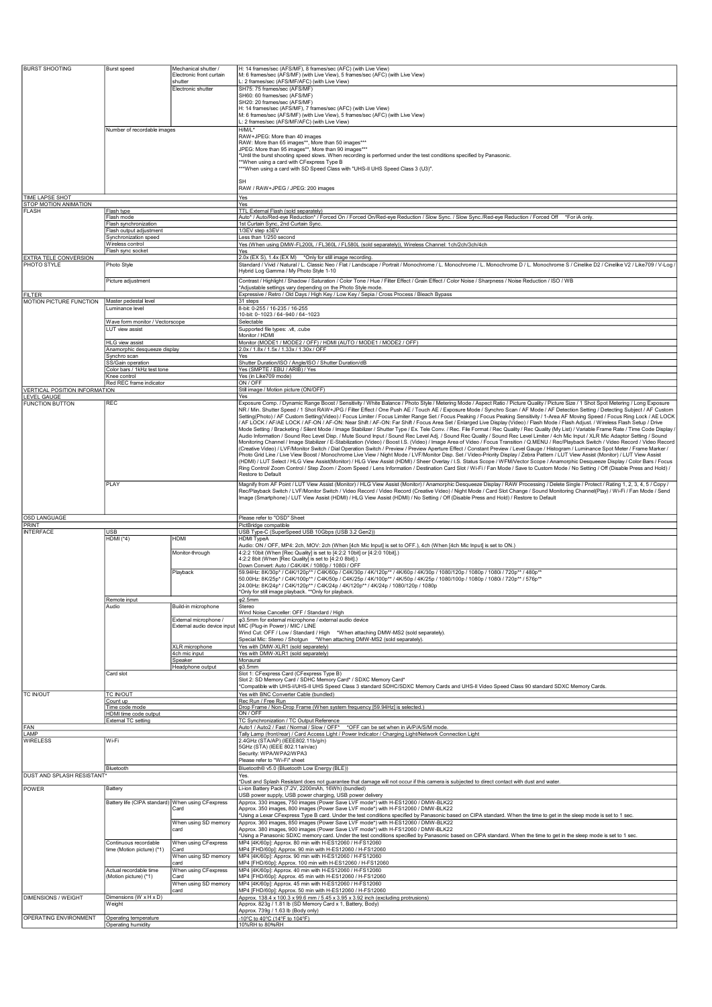| <b>BURST SHOOTING</b>                           | <b>Burst speed</b>                                 | Mechanical shutter /<br>Electronic front curtain<br>shutter | H: 14 frames/sec (AFS/MF), 8 frames/sec (AFC) (with Live View)<br>M: 6 frames/sec (AFS/MF) (with Live View), 5 frames/sec (AFC) (with Live View)<br>L: 2 frames/sec (AFS/MF/AFC) (with Live View)                                                                                                                                                                                                                                                                                                                                                                                                                                                                                                                                                                                                                                                                                                                                                                                                                                                                                                                                                                                                                                                                                                                                                                                                                                                                                                                                                                                                                                                                                                                                                                                                                                                                                                                                                                                                                                                                                                                 |
|-------------------------------------------------|----------------------------------------------------|-------------------------------------------------------------|-------------------------------------------------------------------------------------------------------------------------------------------------------------------------------------------------------------------------------------------------------------------------------------------------------------------------------------------------------------------------------------------------------------------------------------------------------------------------------------------------------------------------------------------------------------------------------------------------------------------------------------------------------------------------------------------------------------------------------------------------------------------------------------------------------------------------------------------------------------------------------------------------------------------------------------------------------------------------------------------------------------------------------------------------------------------------------------------------------------------------------------------------------------------------------------------------------------------------------------------------------------------------------------------------------------------------------------------------------------------------------------------------------------------------------------------------------------------------------------------------------------------------------------------------------------------------------------------------------------------------------------------------------------------------------------------------------------------------------------------------------------------------------------------------------------------------------------------------------------------------------------------------------------------------------------------------------------------------------------------------------------------------------------------------------------------------------------------------------------------|
|                                                 |                                                    | Electronic shutter                                          | SH75: 75 frames/sec (AFS/MF)<br>SH60: 60 frames/sec (AFS/MF)<br>SH20: 20 frames/sec (AFS/MF)<br>H: 14 frames/sec (AFS/MF), 7 frames/sec (AFC) (with Live View)<br>M: 6 frames/sec (AFS/MF) (with Live View), 5 frames/sec (AFC) (with Live View)<br>L: 2 frames/sec (AFS/MF/AFC) (with Live View)                                                                                                                                                                                                                                                                                                                                                                                                                                                                                                                                                                                                                                                                                                                                                                                                                                                                                                                                                                                                                                                                                                                                                                                                                                                                                                                                                                                                                                                                                                                                                                                                                                                                                                                                                                                                                 |
|                                                 | Number of recordable images                        |                                                             | H/M/L*<br>RAW+JPEG: More than 40 images<br>RAW: More than 65 images**, More than 50 images***<br>JPEG: More than 95 images**, More than 90 images***<br>*Until the burst shooting speed slows. When recording is performed under the test conditions specified by Panasonic.<br>*When using a card with CFexpress Type B<br>**When using a card with SD Speed Class with "UHS-II UHS Speed Class 3 (U3)".                                                                                                                                                                                                                                                                                                                                                                                                                                                                                                                                                                                                                                                                                                                                                                                                                                                                                                                                                                                                                                                                                                                                                                                                                                                                                                                                                                                                                                                                                                                                                                                                                                                                                                         |
|                                                 |                                                    |                                                             | <b>SH</b><br>RAW / RAW+JPEG / JPEG: 200 images                                                                                                                                                                                                                                                                                                                                                                                                                                                                                                                                                                                                                                                                                                                                                                                                                                                                                                                                                                                                                                                                                                                                                                                                                                                                                                                                                                                                                                                                                                                                                                                                                                                                                                                                                                                                                                                                                                                                                                                                                                                                    |
| <b>TIME LAPSE SHOT</b><br>STOP MOTION ANIMATION |                                                    |                                                             | Yes<br>Yes                                                                                                                                                                                                                                                                                                                                                                                                                                                                                                                                                                                                                                                                                                                                                                                                                                                                                                                                                                                                                                                                                                                                                                                                                                                                                                                                                                                                                                                                                                                                                                                                                                                                                                                                                                                                                                                                                                                                                                                                                                                                                                        |
| <b>FLASH</b>                                    | Flash type<br>Flash mode                           |                                                             | TTL External Flash (sold separately)<br>Auto* / Auto/Red-eye Reduction* / Forced On / Forced On/Red-eye Reduction / Slow Sync. / Slow Sync./Red-eye Reduction / Forced Off<br>*For iA only                                                                                                                                                                                                                                                                                                                                                                                                                                                                                                                                                                                                                                                                                                                                                                                                                                                                                                                                                                                                                                                                                                                                                                                                                                                                                                                                                                                                                                                                                                                                                                                                                                                                                                                                                                                                                                                                                                                        |
|                                                 | Flash synchronization<br>Flash output adjustment   |                                                             | 1st Curtain Sync, 2nd Curtain Sync.<br>1/3EV step ±3EV                                                                                                                                                                                                                                                                                                                                                                                                                                                                                                                                                                                                                                                                                                                                                                                                                                                                                                                                                                                                                                                                                                                                                                                                                                                                                                                                                                                                                                                                                                                                                                                                                                                                                                                                                                                                                                                                                                                                                                                                                                                            |
|                                                 | Synchronization speed<br>Wireless control          |                                                             | Less than 1/250 second<br>Yes (When using DMW-FL200L / FL360L / FL580L (sold separately)), Wireless Channel: 1ch/2ch/3ch/4ch                                                                                                                                                                                                                                                                                                                                                                                                                                                                                                                                                                                                                                                                                                                                                                                                                                                                                                                                                                                                                                                                                                                                                                                                                                                                                                                                                                                                                                                                                                                                                                                                                                                                                                                                                                                                                                                                                                                                                                                      |
| EXTRA TELE CONVERSION<br>PHOTO STYLE            | Flash sync socket<br>Photo Style                   |                                                             | Yes<br>2.0x (EX S), 1.4x (EX M) *Only for still image recording.<br>Standard / Vivid / Natural / L. Classic Neo / Flat / Landscape / Portrait / Monochrome / L. Monochrome / L. Monochrome D / L. Monochrome S / Cinelike D2 / Cinelike V2 / Like709 / V-Log                                                                                                                                                                                                                                                                                                                                                                                                                                                                                                                                                                                                                                                                                                                                                                                                                                                                                                                                                                                                                                                                                                                                                                                                                                                                                                                                                                                                                                                                                                                                                                                                                                                                                                                                                                                                                                                      |
|                                                 | Picture adjustment                                 |                                                             | Hybrid Log Gamma / My Photo Style 1-10<br>Contrast / Highlight / Shadow / Saturation / Color Tone / Hue / Filter Effect / Grain Effect / Color Noise / Sharpness / Noise Reduction / ISO / WB<br>*Adjustable settings vary depending on the Photo Style mode.                                                                                                                                                                                                                                                                                                                                                                                                                                                                                                                                                                                                                                                                                                                                                                                                                                                                                                                                                                                                                                                                                                                                                                                                                                                                                                                                                                                                                                                                                                                                                                                                                                                                                                                                                                                                                                                     |
| <b>FILTER</b><br>MOTION PICTURE FUNCTION        | Master pedestal level<br>Luminance level           |                                                             | Expressive / Retro / Old Days / High Key / Low Key / Sepia / Cross Process / Bleach Bypass<br>31 steps<br>8-bit: 0-255 / 16-235 / 16-255<br>10-bit: 0-1023 / 64-940 / 64-1023                                                                                                                                                                                                                                                                                                                                                                                                                                                                                                                                                                                                                                                                                                                                                                                                                                                                                                                                                                                                                                                                                                                                                                                                                                                                                                                                                                                                                                                                                                                                                                                                                                                                                                                                                                                                                                                                                                                                     |
|                                                 | Wave form monitor / Vectorscope<br>LUT view assist |                                                             | Selectable<br>Supported file types: .vlt, .cube                                                                                                                                                                                                                                                                                                                                                                                                                                                                                                                                                                                                                                                                                                                                                                                                                                                                                                                                                                                                                                                                                                                                                                                                                                                                                                                                                                                                                                                                                                                                                                                                                                                                                                                                                                                                                                                                                                                                                                                                                                                                   |
|                                                 | HLG view assist                                    |                                                             | Monitor / HDMI<br>Monitor (MODE1 / MODE2 / OFF) / HDMI (AUTO / MODE1 / MODE2 / OFF)                                                                                                                                                                                                                                                                                                                                                                                                                                                                                                                                                                                                                                                                                                                                                                                                                                                                                                                                                                                                                                                                                                                                                                                                                                                                                                                                                                                                                                                                                                                                                                                                                                                                                                                                                                                                                                                                                                                                                                                                                               |
|                                                 | Anamorphic desqueeze display<br>Synchro scan       |                                                             | 2.0x / 1.8x / 1.5x / 1.33x / 1.30x / OFF<br>Yes                                                                                                                                                                                                                                                                                                                                                                                                                                                                                                                                                                                                                                                                                                                                                                                                                                                                                                                                                                                                                                                                                                                                                                                                                                                                                                                                                                                                                                                                                                                                                                                                                                                                                                                                                                                                                                                                                                                                                                                                                                                                   |
|                                                 | SS/Gain operation<br>Color bars / 1kHz test tone   |                                                             | Shutter Duration/ISO / Angle/ISO / Shutter Duration/dB<br>Yes (SMPTE / EBU / ARIB) / Yes                                                                                                                                                                                                                                                                                                                                                                                                                                                                                                                                                                                                                                                                                                                                                                                                                                                                                                                                                                                                                                                                                                                                                                                                                                                                                                                                                                                                                                                                                                                                                                                                                                                                                                                                                                                                                                                                                                                                                                                                                          |
|                                                 | Knee control<br>Red REC frame indicator            |                                                             | Yes (in Like709 mode)<br>ON / OFF                                                                                                                                                                                                                                                                                                                                                                                                                                                                                                                                                                                                                                                                                                                                                                                                                                                                                                                                                                                                                                                                                                                                                                                                                                                                                                                                                                                                                                                                                                                                                                                                                                                                                                                                                                                                                                                                                                                                                                                                                                                                                 |
| VERTICAL POSITION INFORMATION<br>LEVEL GAUGE    |                                                    |                                                             | Still image / Motion picture (ON/OFF)<br>Yes                                                                                                                                                                                                                                                                                                                                                                                                                                                                                                                                                                                                                                                                                                                                                                                                                                                                                                                                                                                                                                                                                                                                                                                                                                                                                                                                                                                                                                                                                                                                                                                                                                                                                                                                                                                                                                                                                                                                                                                                                                                                      |
| <b>FUNCTION BUTTON</b>                          | <b>REC</b>                                         |                                                             | Exposure Comp. / Dynamic Range Boost / Sensitivity / White Balance / Photo Style / Metering Mode / Aspect Ratio / Picture Quality / Picture Size / 1 Shot Spot Metering / Long Exposure<br>NR / Min. Shutter Speed / 1 Shot RAW+JPG / Filter Effect / One Push AE / Touch AE / Exposure Mode / Synchro Scan / AF Mode / AF Detection Setting / Detecting Subject / AF Custom<br>Setting(Photo) / AF Custom Setting(Video) / Focus Limiter / Focus Limiter Range Set / Focus Peaking / Focus Peaking Sensitivity / 1-Area AF Moving Speed / Focus Ring Lock / AE LOCK<br>AF LOCK / AF/AE LOCK / AF-ON / AF-ON: Near Shift / AF-ON: Far Shift / Focus Area Set / Enlarged Live Display (Video) / Flash Mode / Flash Adjust. / Wireless Flash Setup / Drive<br>Mode Setting / Bracketing / Silent Mode / Image Stabilizer / Shutter Type / Ex. Tele Conv. / Rec. File Format / Rec Quality / Rec Quality (My List) / Variable Frame Rate / Time Code Display /<br>Audio Information / Sound Rec Level Disp. / Mute Sound Input / Sound Rec Level Adj. / Sound Rec Quality / Sound Rec Level Limiter / 4ch Mic Input / XLR Mic Adaptor Setting / Sound<br>Monitoring Channel / Image Stabilizer / E-Stabilization (Video) / Boost I.S. (Video) / Image Area of Video / Focus Transition / Q.MENU / Rec/Playback Switch / Video Record / Video Record<br>(Creative Video) / LVF/Monitor Switch / Dial Operation Switch / Preview / Preview Aperture Effect / Constant Preview / Level Gauge / Histogram / Luminance Spot Meter / Frame Marker /<br>Photo Grid Line / Live View Boost / Monochrome Live View / Night Mode / LVF/Monitor Disp. Set / Video-Priority Display / Zebra Pattern / LUT View Assist (Monitor) / LUT View Assist<br>(HDMI) / LUT Select / HLG View Assist(Monitor) / HLG View Assist (HDMI) / Sheer Overlay / I.S. Status Scope / WFM/Vector Scope / Anamorphic Desqueeze Display / Color Bars / Focus<br>Ring Control/ Zoom Control / Step Zoom / Zoom Speed / Lens Information / Destination Card Slot / Wi-Fi / Fan Mode / Save to Custom Mode / No Setting / Off (Disable Press and Hold) / |
|                                                 | <b>PLAY</b>                                        |                                                             | Restore to Default<br>Magnify from AF Point / LUT View Assist (Monitor) / HLG View Assist (Monitor) / Anamorphic Desqueeze Display / RAW Processing / Delete Single / Protect / Rating 1, 2, 3, 4, 5 / Copy /<br>Rec/Playback Switch / LVF/Monitor Switch / Video Record / Video Record (Creative Video) / Night Mode / Card Slot Change / Sound Monitoring Channel(Play) / Wi-Fi / Fan Mode / Send<br>mage (Smartphone) / LUT View Assist (HDMI) / HLG View Assist (HDMI) / No Setting / Off (Disable Press and Hold) / Restore to Default                                                                                                                                                                                                                                                                                                                                                                                                                                                                                                                                                                                                                                                                                                                                                                                                                                                                                                                                                                                                                                                                                                                                                                                                                                                                                                                                                                                                                                                                                                                                                                       |
| OSD LANGUAGE                                    |                                                    |                                                             | Please refer to "OSD" Sheet                                                                                                                                                                                                                                                                                                                                                                                                                                                                                                                                                                                                                                                                                                                                                                                                                                                                                                                                                                                                                                                                                                                                                                                                                                                                                                                                                                                                                                                                                                                                                                                                                                                                                                                                                                                                                                                                                                                                                                                                                                                                                       |
| PRINT<br><b>INTERFACE</b>                       | USB                                                |                                                             | PictBridge compatible<br>USB Type-C (SuperSpeed USB 10Gbps (USB 3.2 Gen2))                                                                                                                                                                                                                                                                                                                                                                                                                                                                                                                                                                                                                                                                                                                                                                                                                                                                                                                                                                                                                                                                                                                                                                                                                                                                                                                                                                                                                                                                                                                                                                                                                                                                                                                                                                                                                                                                                                                                                                                                                                        |
|                                                 | $HDMI$ (*4)                                        | HDMI                                                        | <b>HDMI TypeA</b><br>Audio: ON / OFF, MP4: 2ch, MOV: 2ch (When [4ch Mic Input] is set to OFF.), 4ch (When [4ch Mic Input] is set to ON.)                                                                                                                                                                                                                                                                                                                                                                                                                                                                                                                                                                                                                                                                                                                                                                                                                                                                                                                                                                                                                                                                                                                                                                                                                                                                                                                                                                                                                                                                                                                                                                                                                                                                                                                                                                                                                                                                                                                                                                          |
|                                                 |                                                    | Monitor-through                                             | 4:2:2 10bit (When [Rec Quality] is set to [4:2:2 10bit] or [4:2:0 10bit].)<br>4:2:2 8bit (When [Rec Quality] is set to [4:2:0 8bit].)                                                                                                                                                                                                                                                                                                                                                                                                                                                                                                                                                                                                                                                                                                                                                                                                                                                                                                                                                                                                                                                                                                                                                                                                                                                                                                                                                                                                                                                                                                                                                                                                                                                                                                                                                                                                                                                                                                                                                                             |
|                                                 |                                                    | Playback                                                    | Down Convert: Auto / C4K/4K / 1080p / 1080i / OFF<br>59.94Hz: 8K/30p* / C4K/120p** / C4K/60p / C4K/30p / 4K/120p** / 4K/60p / 4K/30p / 1080/120p / 1080p / 1080i / 720p** / 480p*<br>50.00Hz: 8K/25p* / C4K/100p** / C4K/50p / C4K/25p / 4K/100p** / 4K/50p / 4K/25p / 1080/100p / 1080p / 1080i / 720p** / 576p**<br>24.00Hz: 8K/24p* / C4K/120p** / C4K/24p / 4K/120p** / 4K/24p / 1080/120p / 1080p<br>*Only for still image playback. **Only for playback.                                                                                                                                                                                                                                                                                                                                                                                                                                                                                                                                                                                                                                                                                                                                                                                                                                                                                                                                                                                                                                                                                                                                                                                                                                                                                                                                                                                                                                                                                                                                                                                                                                                    |
|                                                 | Remote input<br>Audio                              | Build-in microphone                                         | $\phi$ 2.5mm<br>Stereo                                                                                                                                                                                                                                                                                                                                                                                                                                                                                                                                                                                                                                                                                                                                                                                                                                                                                                                                                                                                                                                                                                                                                                                                                                                                                                                                                                                                                                                                                                                                                                                                                                                                                                                                                                                                                                                                                                                                                                                                                                                                                            |
|                                                 |                                                    | External microphone /<br>External audio device input        | Wind Noise Canceller: OFF / Standard / High<br>φ3.5mm for external microphone / external audio device<br>MIC (Plug-in Power) / MIC / LINE<br>Wind Cut: OFF / Low / Standard / High *When attaching DMW-MS2 (sold separately).<br>Special Mic: Stereo / Shotgun *When attaching DMW-MS2 (sold separately).                                                                                                                                                                                                                                                                                                                                                                                                                                                                                                                                                                                                                                                                                                                                                                                                                                                                                                                                                                                                                                                                                                                                                                                                                                                                                                                                                                                                                                                                                                                                                                                                                                                                                                                                                                                                         |
|                                                 |                                                    | XLR microphone<br>4ch mic input                             | Yes with DMW-XLR1 (sold separately)<br>Yes with DMW-XLR1 (sold separately)                                                                                                                                                                                                                                                                                                                                                                                                                                                                                                                                                                                                                                                                                                                                                                                                                                                                                                                                                                                                                                                                                                                                                                                                                                                                                                                                                                                                                                                                                                                                                                                                                                                                                                                                                                                                                                                                                                                                                                                                                                        |
|                                                 |                                                    | Speaker<br>Headphone output                                 | Monaural<br>$\phi$ 3.5mm                                                                                                                                                                                                                                                                                                                                                                                                                                                                                                                                                                                                                                                                                                                                                                                                                                                                                                                                                                                                                                                                                                                                                                                                                                                                                                                                                                                                                                                                                                                                                                                                                                                                                                                                                                                                                                                                                                                                                                                                                                                                                          |
|                                                 | Card slot                                          |                                                             | Slot 1: CFexpress Card (CFexpress Type B)<br>Slot 2: SD Memory Card / SDHC Memory Card* / SDXC Memory Card*<br>*Compatible with UHS-I/UHS-II UHS Speed Class 3 standard SDHC/SDXC Memory Cards and UHS-II Video Speed Class 90 standard SDXC Memory Cards.                                                                                                                                                                                                                                                                                                                                                                                                                                                                                                                                                                                                                                                                                                                                                                                                                                                                                                                                                                                                                                                                                                                                                                                                                                                                                                                                                                                                                                                                                                                                                                                                                                                                                                                                                                                                                                                        |
| <b>TC IN/OUT</b>                                | <b>TC IN/OUT</b><br>Count up                       |                                                             | Yes with BNC Converter Cable (bundled)<br>Rec Run / Free Run                                                                                                                                                                                                                                                                                                                                                                                                                                                                                                                                                                                                                                                                                                                                                                                                                                                                                                                                                                                                                                                                                                                                                                                                                                                                                                                                                                                                                                                                                                                                                                                                                                                                                                                                                                                                                                                                                                                                                                                                                                                      |
|                                                 | Time code mode<br>HDMI time code output            |                                                             | Drop Frame / Non-Drop Frame (When system frequency [59.94Hz] is selected.)<br>ON / OFF                                                                                                                                                                                                                                                                                                                                                                                                                                                                                                                                                                                                                                                                                                                                                                                                                                                                                                                                                                                                                                                                                                                                                                                                                                                                                                                                                                                                                                                                                                                                                                                                                                                                                                                                                                                                                                                                                                                                                                                                                            |
| FAN                                             | <b>External TC setting</b>                         |                                                             | TC Synchronization / TC Output Reference<br>*OFF can be set when in iA/P/A/S/M mode<br>Auto1 / Auto2 / Fast / Normal / Slow / OFF*                                                                                                                                                                                                                                                                                                                                                                                                                                                                                                                                                                                                                                                                                                                                                                                                                                                                                                                                                                                                                                                                                                                                                                                                                                                                                                                                                                                                                                                                                                                                                                                                                                                                                                                                                                                                                                                                                                                                                                                |
| LAMP<br><b>WIRELESS</b>                         | <b>Wi-Fi</b>                                       |                                                             | Tally Lamp (front/rear) / Card Access Light / Power Indicator / Charging Light/Network Connection Light<br>2.4GHz (STA/AP) (IEEE802.11b/g/n)<br>5GHz (STA) (IEEE 802.11a/n/ac)<br>Security: WPA/WPA2/WPA3<br>Please refer to "Wi-Fi" sheet<br>Bluetooth® v5.0 (Bluetooth Low Energy (BLE))                                                                                                                                                                                                                                                                                                                                                                                                                                                                                                                                                                                                                                                                                                                                                                                                                                                                                                                                                                                                                                                                                                                                                                                                                                                                                                                                                                                                                                                                                                                                                                                                                                                                                                                                                                                                                        |
| DUST AND SPLASH RESISTANT                       | Bluetooth                                          |                                                             | Yes.<br>*Dust and Splash Resistant does not guarantee that damage will not occur if this camera is subjected to direct contact with dust and water.                                                                                                                                                                                                                                                                                                                                                                                                                                                                                                                                                                                                                                                                                                                                                                                                                                                                                                                                                                                                                                                                                                                                                                                                                                                                                                                                                                                                                                                                                                                                                                                                                                                                                                                                                                                                                                                                                                                                                               |
| POWER                                           | Battery                                            |                                                             | Li-ion Battery Pack (7.2V, 2200mAh, 16Wh) (bundled)<br>USB power supply, USB power charging, USB power delivery                                                                                                                                                                                                                                                                                                                                                                                                                                                                                                                                                                                                                                                                                                                                                                                                                                                                                                                                                                                                                                                                                                                                                                                                                                                                                                                                                                                                                                                                                                                                                                                                                                                                                                                                                                                                                                                                                                                                                                                                   |
|                                                 | Battery life (CIPA standard) When using CFexpress  | Card                                                        | Approx. 330 images, 750 images (Power Save LVF mode*) with H-ES12060 / DMW-BLK22<br>Approx. 350 images, 800 images (Power Save LVF mode*) with H-FS12060 / DMW-BLK22<br>*Using a Lexar CFexpress Type B card. Under the test conditions specified by Panasonic based on CIPA standard. When the time to get in the sleep mode is set to 1 sec.                                                                                                                                                                                                                                                                                                                                                                                                                                                                                                                                                                                                                                                                                                                                                                                                                                                                                                                                                                                                                                                                                                                                                                                                                                                                                                                                                                                                                                                                                                                                                                                                                                                                                                                                                                    |
|                                                 | Continuous recordable                              | When using SD memory<br>card<br>When using CFexpress        | Approx. 360 images, 850 images (Power Save LVF mode*) with H-ES12060 / DMW-BLK22<br>Approx. 380 images, 900 images (Power Save LVF mode*) with H-FS12060 / DMW-BLK22<br>Using a Panasonic SDXC memory card. Under the test conditions specified by Panasonic based on CIPA standard. When the time to get in the sleep mode is set to 1 sec.<br>MP4 [4K/60p]: Approx. 80 min with H-ES12060 / H-FS12060                                                                                                                                                                                                                                                                                                                                                                                                                                                                                                                                                                                                                                                                                                                                                                                                                                                                                                                                                                                                                                                                                                                                                                                                                                                                                                                                                                                                                                                                                                                                                                                                                                                                                                           |
|                                                 | time (Motion picture) (*1)                         | Card<br>When using SD memory                                | MP4 [FHD/60p]: Approx. 90 min with H-ES12060 / H-FS12060<br>MP4 [4K/60p]: Approx. 90 min with H-ES12060 / H-FS12060                                                                                                                                                                                                                                                                                                                                                                                                                                                                                                                                                                                                                                                                                                                                                                                                                                                                                                                                                                                                                                                                                                                                                                                                                                                                                                                                                                                                                                                                                                                                                                                                                                                                                                                                                                                                                                                                                                                                                                                               |
|                                                 | Actual recordable time                             | card<br>When using CFexpress                                | MP4 [FHD/60p]: Approx. 100 min with H-ES12060 / H-FS12060<br>MP4 [4K/60p]: Approx. 40 min with H-ES12060 / H-FS12060                                                                                                                                                                                                                                                                                                                                                                                                                                                                                                                                                                                                                                                                                                                                                                                                                                                                                                                                                                                                                                                                                                                                                                                                                                                                                                                                                                                                                                                                                                                                                                                                                                                                                                                                                                                                                                                                                                                                                                                              |
|                                                 | (Motion picture) (*1)                              | Card<br>When using SD memory                                | MP4 [FHD/60p]: Approx. 45 min with H-ES12060 / H-FS12060<br>MP4 [4K/60p]: Approx. 45 min with H-ES12060 / H-FS12060                                                                                                                                                                                                                                                                                                                                                                                                                                                                                                                                                                                                                                                                                                                                                                                                                                                                                                                                                                                                                                                                                                                                                                                                                                                                                                                                                                                                                                                                                                                                                                                                                                                                                                                                                                                                                                                                                                                                                                                               |
| <b>DIMENSIONS / WEIGHT</b>                      | Dimensions (W x H x D)                             | card                                                        | MP4 [FHD/60p]: Approx. 50 min with H-ES12060 / H-FS12060<br>Approx. 138.4 x 100.3 x 99.6 mm / 5.45 x 3.95 x 3.92 inch (excluding protrusions)                                                                                                                                                                                                                                                                                                                                                                                                                                                                                                                                                                                                                                                                                                                                                                                                                                                                                                                                                                                                                                                                                                                                                                                                                                                                                                                                                                                                                                                                                                                                                                                                                                                                                                                                                                                                                                                                                                                                                                     |
|                                                 | Weight                                             |                                                             | Approx. 823g / 1.81 lb (SD Memory Card x 1, Battery, Body)<br>Approx. 739g / 1.63 lb (Body only)                                                                                                                                                                                                                                                                                                                                                                                                                                                                                                                                                                                                                                                                                                                                                                                                                                                                                                                                                                                                                                                                                                                                                                                                                                                                                                                                                                                                                                                                                                                                                                                                                                                                                                                                                                                                                                                                                                                                                                                                                  |
| OPERATING ENVIRONMENT                           | Operating temperature<br>Operating humidity        |                                                             | 10°C to 40°C (14°F to 104°F).<br>10%RH to 80%RH                                                                                                                                                                                                                                                                                                                                                                                                                                                                                                                                                                                                                                                                                                                                                                                                                                                                                                                                                                                                                                                                                                                                                                                                                                                                                                                                                                                                                                                                                                                                                                                                                                                                                                                                                                                                                                                                                                                                                                                                                                                                   |